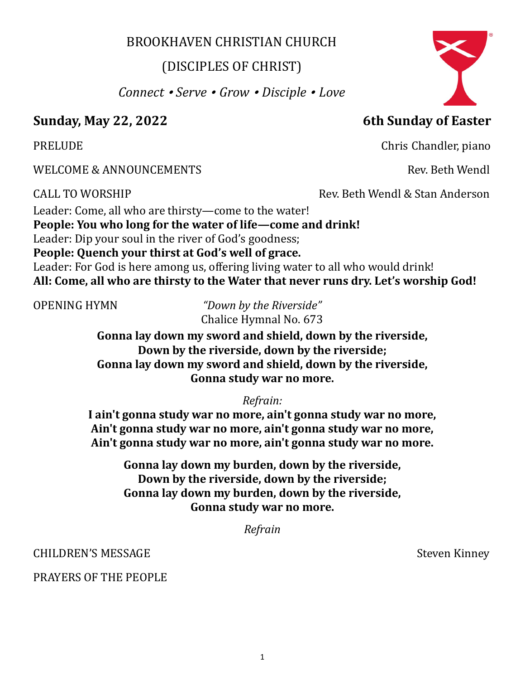## BROOKHAVEN CHRISTIAN CHURCH

# (DISCIPLES OF CHRIST)

*Connect* • *Serve* • *Grow* • *Disciple* • *Love* 

# **Sunday, May 22, 2022 6th Sunday of Easter**

WELCOME & ANNOUNCEMENTS FOR EXAMPLE 2008 AND Rev. Beth Wendl

Leader: Come, all who are thirsty—come to the water! **People: You who long for the water of life—come and drink!** Leader: Dip your soul in the river of God's goodness; **People: Quench your thirst at God's well of grace.** Leader: For God is here among us, offering living water to all who would drink! **All: Come, all who are thirsty to the Water that never runs dry. Let's worship God!**

OPENING HYMN *"Down by the Riverside"* 

**Gonna lay down my sword and shield, down by the riverside, Down by the riverside, down by the riverside; Gonna lay down my sword and shield, down by the riverside, Gonna study war no more.** 

*Refrain:*

**I ain't gonna study war no more, ain't gonna study war no more, Ain't gonna study war no more, ain't gonna study war no more, Ain't gonna study war no more, ain't gonna study war no more.**

> **Gonna lay down my burden, down by the riverside, Down by the riverside, down by the riverside; Gonna lay down my burden, down by the riverside, Gonna study war no more.**

> > *Refrain*

CHILDREN'S MESSAGE Steven Kinney

PRAYERS OF THE PEOPLE

PRELUDE **Chris Chandler**, piano

CALL TO WORSHIP Rev. Beth Wendl & Stan Anderson

Chalice Hymnal No. 673